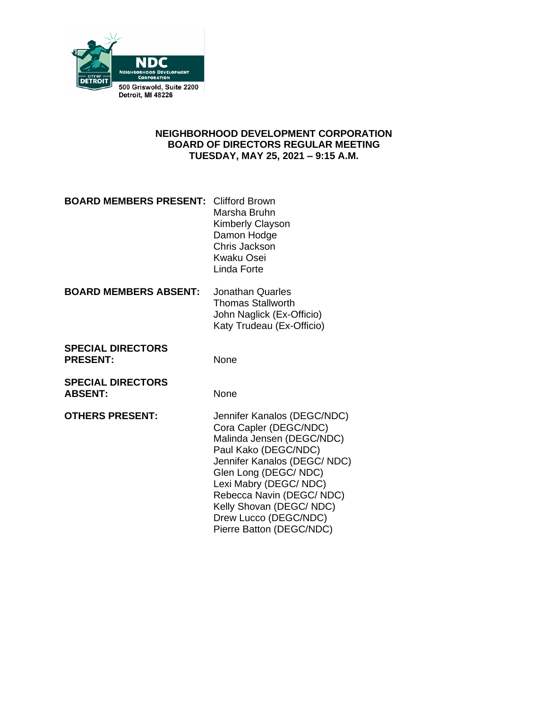

## **NEIGHBORHOOD DEVELOPMENT CORPORATION BOARD OF DIRECTORS REGULAR MEETING TUESDAY, MAY 25, 2021 – 9:15 A.M.**

|                                             | Marsha Bruhn<br>Kimberly Clayson<br>Damon Hodge<br>Chris Jackson<br>Kwaku Osei<br>Linda Forte                                                                                                                                                                                                          |
|---------------------------------------------|--------------------------------------------------------------------------------------------------------------------------------------------------------------------------------------------------------------------------------------------------------------------------------------------------------|
| <b>BOARD MEMBERS ABSENT:</b>                | Jonathan Quarles<br><b>Thomas Stallworth</b><br>John Naglick (Ex-Officio)<br>Katy Trudeau (Ex-Officio)                                                                                                                                                                                                 |
| <b>SPECIAL DIRECTORS</b><br><b>PRESENT:</b> | None                                                                                                                                                                                                                                                                                                   |
| <b>SPECIAL DIRECTORS</b><br><b>ABSENT:</b>  | None                                                                                                                                                                                                                                                                                                   |
| <b>OTHERS PRESENT:</b>                      | Jennifer Kanalos (DEGC/NDC)<br>Cora Capler (DEGC/NDC)<br>Malinda Jensen (DEGC/NDC)<br>Paul Kako (DEGC/NDC)<br>Jennifer Kanalos (DEGC/NDC)<br>Glen Long (DEGC/NDC)<br>Lexi Mabry (DEGC/NDC)<br>Rebecca Navin (DEGC/NDC)<br>Kelly Shovan (DEGC/NDC)<br>Drew Lucco (DEGC/NDC)<br>Pierre Batton (DEGC/NDC) |

**BOARD MEMBERS PRESENT:** Clifford Brown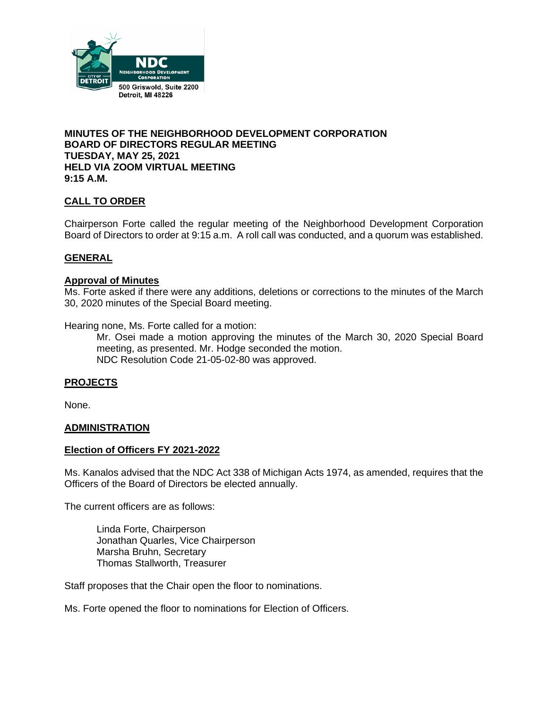

#### **MINUTES OF THE NEIGHBORHOOD DEVELOPMENT CORPORATION BOARD OF DIRECTORS REGULAR MEETING TUESDAY, MAY 25, 2021 HELD VIA ZOOM VIRTUAL MEETING 9:15 A.M.**

# **CALL TO ORDER**

Chairperson Forte called the regular meeting of the Neighborhood Development Corporation Board of Directors to order at 9:15 a.m. A roll call was conducted, and a quorum was established.

## **GENERAL**

# **Approval of Minutes**

Ms. Forte asked if there were any additions, deletions or corrections to the minutes of the March 30, 2020 minutes of the Special Board meeting.

Hearing none, Ms. Forte called for a motion:

Mr. Osei made a motion approving the minutes of the March 30, 2020 Special Board meeting, as presented. Mr. Hodge seconded the motion. NDC Resolution Code 21-05-02-80 was approved.

#### **PROJECTS**

None.

#### **ADMINISTRATION**

#### **Election of Officers FY 2021-2022**

Ms. Kanalos advised that the NDC Act 338 of Michigan Acts 1974, as amended, requires that the Officers of the Board of Directors be elected annually.

The current officers are as follows:

Linda Forte, Chairperson Jonathan Quarles, Vice Chairperson Marsha Bruhn, Secretary Thomas Stallworth, Treasurer

Staff proposes that the Chair open the floor to nominations.

Ms. Forte opened the floor to nominations for Election of Officers.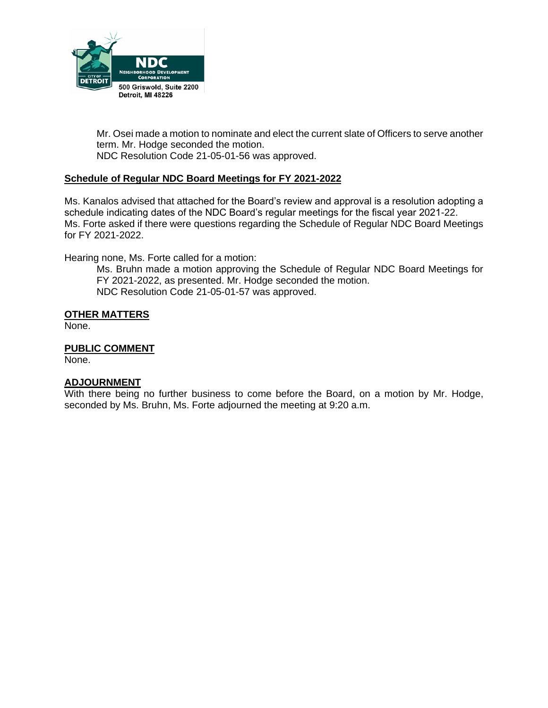

Mr. Osei made a motion to nominate and elect the current slate of Officers to serve another term. Mr. Hodge seconded the motion. NDC Resolution Code 21-05-01-56 was approved.

## **Schedule of Regular NDC Board Meetings for FY 2021-2022**

Ms. Kanalos advised that attached for the Board's review and approval is a resolution adopting a schedule indicating dates of the NDC Board's regular meetings for the fiscal year 2021-22. Ms. Forte asked if there were questions regarding the Schedule of Regular NDC Board Meetings for FY 2021-2022.

Hearing none, Ms. Forte called for a motion:

Ms. Bruhn made a motion approving the Schedule of Regular NDC Board Meetings for FY 2021-2022, as presented. Mr. Hodge seconded the motion. NDC Resolution Code 21-05-01-57 was approved.

#### **OTHER MATTERS**

None.

**PUBLIC COMMENT** None.

#### **ADJOURNMENT**

With there being no further business to come before the Board, on a motion by Mr. Hodge, seconded by Ms. Bruhn, Ms. Forte adjourned the meeting at 9:20 a.m.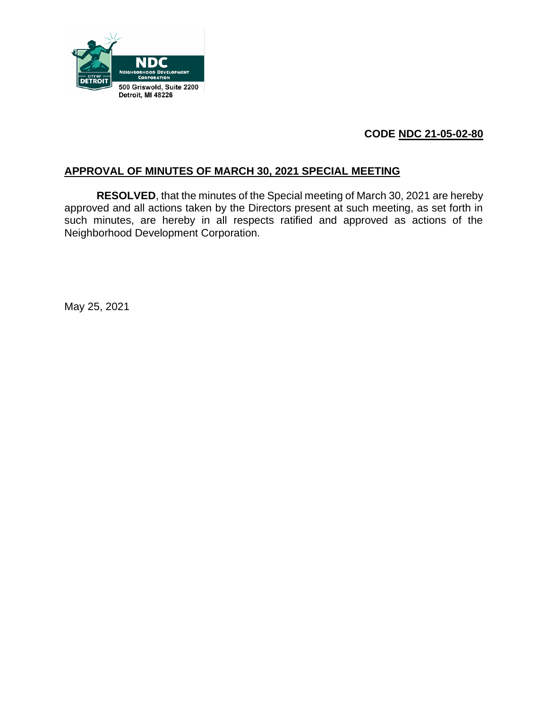

# **CODE NDC 21-05-02-80**

# **APPROVAL OF MINUTES OF MARCH 30, 2021 SPECIAL MEETING**

**RESOLVED**, that the minutes of the Special meeting of March 30, 2021 are hereby approved and all actions taken by the Directors present at such meeting, as set forth in such minutes, are hereby in all respects ratified and approved as actions of the Neighborhood Development Corporation.

May 25, 2021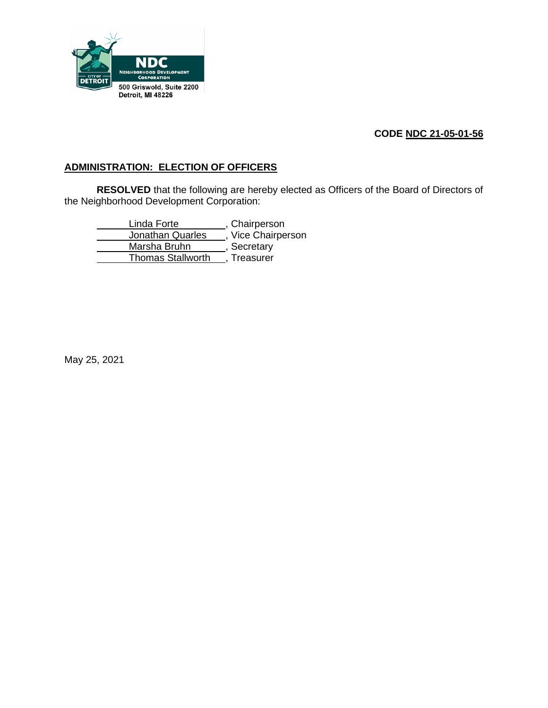

# **CODE NDC 21-05-01-56**

# **ADMINISTRATION: ELECTION OF OFFICERS**

**RESOLVED** that the following are hereby elected as Officers of the Board of Directors of the Neighborhood Development Corporation:

Linda Forte , Chairperson Jonathan Quarles , Vice Chairperson Marsha Bruhn , Secretary Thomas Stallworth , Treasurer

May 25, 2021